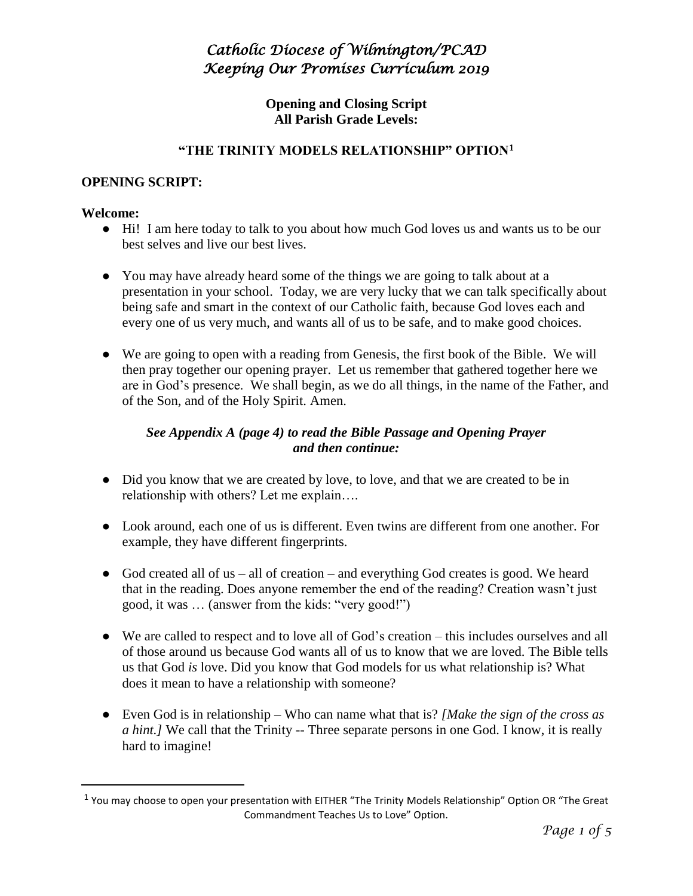**Opening and Closing Script All Parish Grade Levels:**

### **"THE TRINITY MODELS RELATIONSHIP" OPTION<sup>1</sup>**

#### **OPENING SCRIPT:**

#### **Welcome:**

 $\overline{a}$ 

- Hi! I am here today to talk to you about how much God loves us and wants us to be our best selves and live our best lives.
- You may have already heard some of the things we are going to talk about at a presentation in your school. Today, we are very lucky that we can talk specifically about being safe and smart in the context of our Catholic faith, because God loves each and every one of us very much, and wants all of us to be safe, and to make good choices.
- We are going to open with a reading from Genesis, the first book of the Bible. We will then pray together our opening prayer. Let us remember that gathered together here we are in God's presence. We shall begin, as we do all things, in the name of the Father, and of the Son, and of the Holy Spirit. Amen.

### *See Appendix A (page 4) to read the Bible Passage and Opening Prayer and then continue:*

- Did you know that we are created by love, to love, and that we are created to be in relationship with others? Let me explain….
- Look around, each one of us is different. Even twins are different from one another. For example, they have different fingerprints.
- God created all of us all of creation and everything God creates is good. We heard that in the reading. Does anyone remember the end of the reading? Creation wasn't just good, it was … (answer from the kids: "very good!")
- We are called to respect and to love all of God's creation this includes ourselves and all of those around us because God wants all of us to know that we are loved. The Bible tells us that God *is* love. Did you know that God models for us what relationship is? What does it mean to have a relationship with someone?
- Even God is in relationship Who can name what that is? *[Make the sign of the cross as a hint.]* We call that the Trinity -- Three separate persons in one God. I know, it is really hard to imagine!

<sup>&</sup>lt;sup>1</sup> You may choose to open your presentation with EITHER "The Trinity Models Relationship" Option OR "The Great Commandment Teaches Us to Love" Option.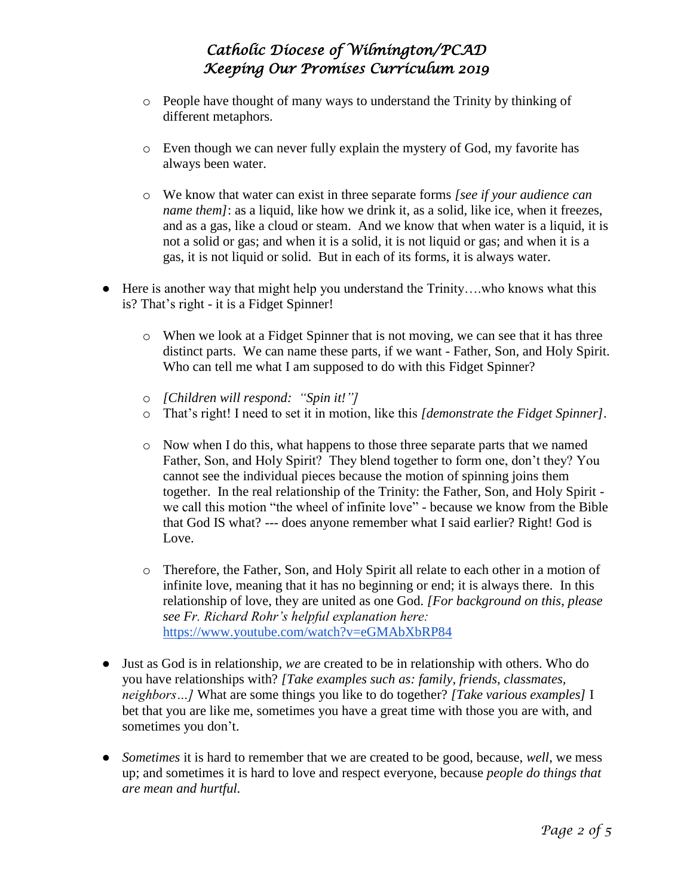- o People have thought of many ways to understand the Trinity by thinking of different metaphors.
- o Even though we can never fully explain the mystery of God, my favorite has always been water.
- o We know that water can exist in three separate forms *[see if your audience can name them]*: as a liquid, like how we drink it, as a solid, like ice, when it freezes, and as a gas, like a cloud or steam. And we know that when water is a liquid, it is not a solid or gas; and when it is a solid, it is not liquid or gas; and when it is a gas, it is not liquid or solid. But in each of its forms, it is always water.
- Here is another way that might help you understand the Trinity….who knows what this is? That's right - it is a Fidget Spinner!
	- o When we look at a Fidget Spinner that is not moving, we can see that it has three distinct parts. We can name these parts, if we want - Father, Son, and Holy Spirit. Who can tell me what I am supposed to do with this Fidget Spinner?
	- o *[Children will respond: "Spin it!"]*
	- o That's right! I need to set it in motion, like this *[demonstrate the Fidget Spinner]*.
	- o Now when I do this, what happens to those three separate parts that we named Father, Son, and Holy Spirit? They blend together to form one, don't they? You cannot see the individual pieces because the motion of spinning joins them together. In the real relationship of the Trinity: the Father, Son, and Holy Spirit we call this motion "the wheel of infinite love" - because we know from the Bible that God IS what? --- does anyone remember what I said earlier? Right! God is Love.
	- o Therefore, the Father, Son, and Holy Spirit all relate to each other in a motion of infinite love, meaning that it has no beginning or end; it is always there. In this relationship of love, they are united as one God. *[For background on this, please see Fr. Richard Rohr's helpful explanation here:*  <https://www.youtube.com/watch?v=eGMAbXbRP84>
- Just as God is in relationship, *we* are created to be in relationship with others. Who do you have relationships with? *[Take examples such as: family, friends, classmates, neighbors…]* What are some things you like to do together? *[Take various examples]* I bet that you are like me, sometimes you have a great time with those you are with, and sometimes you don't.
- *Sometimes* it is hard to remember that we are created to be good, because, *well*, we mess up; and sometimes it is hard to love and respect everyone, because *people do things that are mean and hurtful.*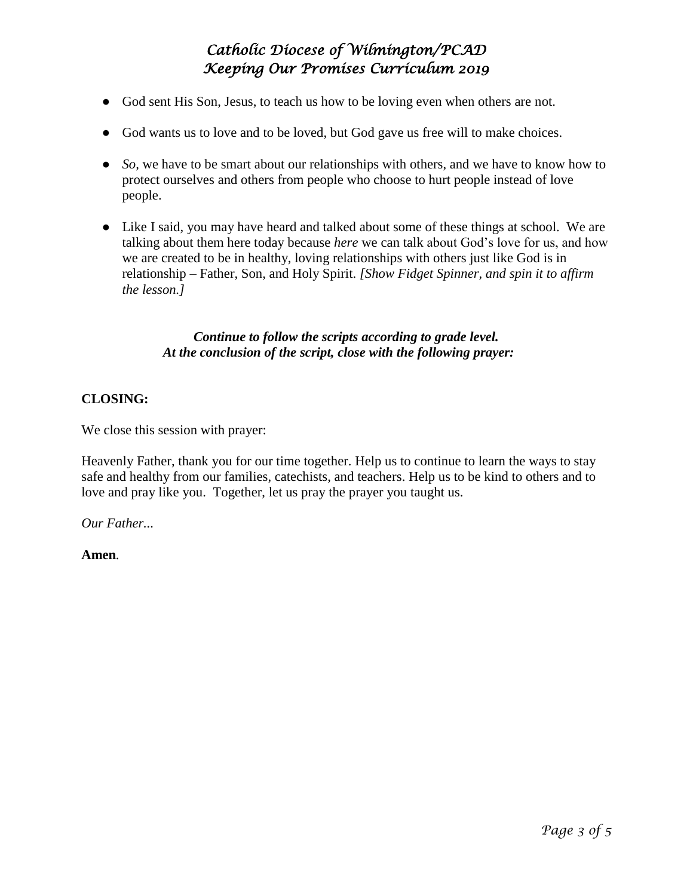- God sent His Son, Jesus, to teach us how to be loving even when others are not.
- God wants us to love and to be loved, but God gave us free will to make choices.
- *So,* we have to be smart about our relationships with others, and we have to know how to protect ourselves and others from people who choose to hurt people instead of love people.
- Like I said, you may have heard and talked about some of these things at school. We are talking about them here today because *here* we can talk about God's love for us, and how we are created to be in healthy, loving relationships with others just like God is in relationship – Father, Son, and Holy Spirit. *[Show Fidget Spinner, and spin it to affirm the lesson.]*

### *Continue to follow the scripts according to grade level. At the conclusion of the script, close with the following prayer:*

### **CLOSING:**

We close this session with prayer:

Heavenly Father, thank you for our time together. Help us to continue to learn the ways to stay safe and healthy from our families, catechists, and teachers. Help us to be kind to others and to love and pray like you. Together, let us pray the prayer you taught us.

*Our Father...* 

**Amen***.*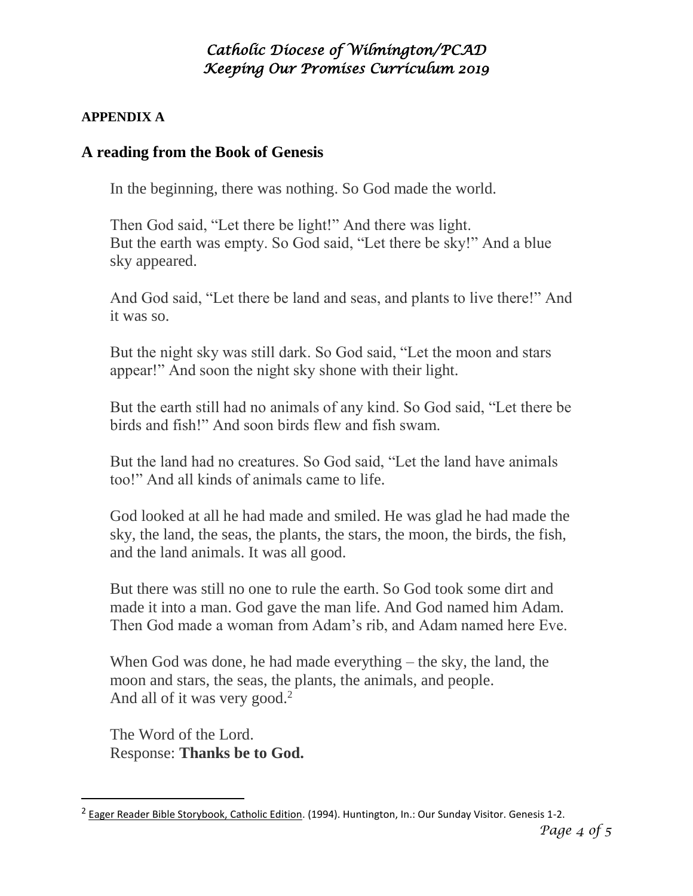### **APPENDIX A**

### **A reading from the Book of Genesis**

In the beginning, there was nothing. So God made the world.

Then God said, "Let there be light!" And there was light. But the earth was empty. So God said, "Let there be sky!" And a blue sky appeared.

And God said, "Let there be land and seas, and plants to live there!" And it was so.

But the night sky was still dark. So God said, "Let the moon and stars appear!" And soon the night sky shone with their light.

But the earth still had no animals of any kind. So God said, "Let there be birds and fish!" And soon birds flew and fish swam.

But the land had no creatures. So God said, "Let the land have animals too!" And all kinds of animals came to life.

God looked at all he had made and smiled. He was glad he had made the sky, the land, the seas, the plants, the stars, the moon, the birds, the fish, and the land animals. It was all good.

But there was still no one to rule the earth. So God took some dirt and made it into a man. God gave the man life. And God named him Adam. Then God made a woman from Adam's rib, and Adam named here Eve.

When God was done, he had made everything – the sky, the land, the moon and stars, the seas, the plants, the animals, and people. And all of it was very good.<sup>2</sup>

The Word of the Lord. Response: **Thanks be to God.**

 $\overline{a}$ 

<sup>&</sup>lt;sup>2</sup> Eager Reader Bible Storybook, Catholic Edition. (1994). Huntington, In.: Our Sunday Visitor. Genesis 1-2.